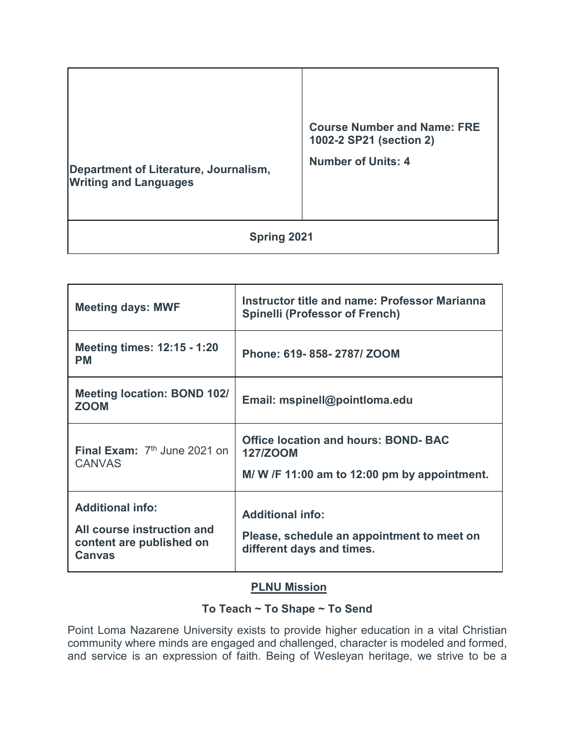| Department of Literature, Journalism,<br><b>Writing and Languages</b> | <b>Course Number and Name: FRE</b><br>1002-2 SP21 (section 2)<br><b>Number of Units: 4</b> |  |  |  |
|-----------------------------------------------------------------------|--------------------------------------------------------------------------------------------|--|--|--|
| Spring 2021                                                           |                                                                                            |  |  |  |

| <b>Meeting days: MWF</b>                                                                           | <b>Instructor title and name: Professor Marianna</b><br><b>Spinelli (Professor of French)</b>                 |  |
|----------------------------------------------------------------------------------------------------|---------------------------------------------------------------------------------------------------------------|--|
| Meeting times: 12:15 - 1:20<br><b>PM</b>                                                           | Phone: 619-858-2787/ZOOM                                                                                      |  |
| <b>Meeting location: BOND 102/</b><br><b>ZOOM</b>                                                  | Email: mspinell@pointloma.edu                                                                                 |  |
| <b>Final Exam:</b> $7th$ June 2021 on<br><b>CANVAS</b>                                             | <b>Office location and hours: BOND- BAC</b><br><b>127/ZOOM</b><br>M/W /F 11:00 am to 12:00 pm by appointment. |  |
| <b>Additional info:</b><br>All course instruction and<br>content are published on<br><b>Canvas</b> | <b>Additional info:</b><br>Please, schedule an appointment to meet on<br>different days and times.            |  |

## **PLNU Mission**

# **To Teach ~ To Shape ~ To Send**

Point Loma Nazarene University exists to provide higher education in a vital Christian community where minds are engaged and challenged, character is modeled and formed, and service is an expression of faith. Being of Wesleyan heritage, we strive to be a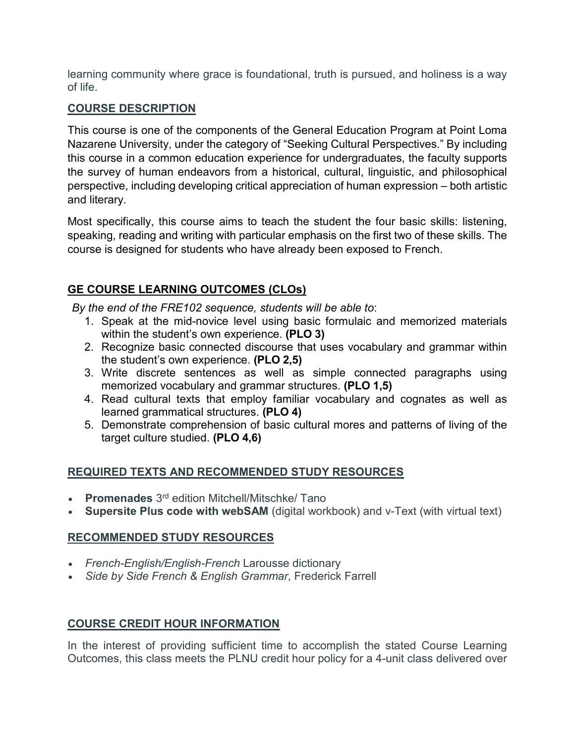learning community where grace is foundational, truth is pursued, and holiness is a way of life.

### **COURSE DESCRIPTION**

This course is one of the components of the General Education Program at Point Loma Nazarene University, under the category of "Seeking Cultural Perspectives." By including this course in a common education experience for undergraduates, the faculty supports the survey of human endeavors from a historical, cultural, linguistic, and philosophical perspective, including developing critical appreciation of human expression – both artistic and literary.

Most specifically, this course aims to teach the student the four basic skills: listening, speaking, reading and writing with particular emphasis on the first two of these skills. The course is designed for students who have already been exposed to French.

# **GE COURSE LEARNING OUTCOMES (CLOs)**

*By the end of the FRE102 sequence, students will be able to*:

- 1. Speak at the mid-novice level using basic formulaic and memorized materials within the student's own experience. **(PLO 3)**
- 2. Recognize basic connected discourse that uses vocabulary and grammar within the student's own experience. **(PLO 2,5)**
- 3. Write discrete sentences as well as simple connected paragraphs using memorized vocabulary and grammar structures. **(PLO 1,5)**
- 4. Read cultural texts that employ familiar vocabulary and cognates as well as learned grammatical structures. **(PLO 4)**
- 5. Demonstrate comprehension of basic cultural mores and patterns of living of the target culture studied. **(PLO 4,6)**

# **REQUIRED TEXTS AND RECOMMENDED STUDY RESOURCES**

- **Promenades** 3rd edition Mitchell/Mitschke/ Tano
- **Supersite Plus code with webSAM** (digital workbook) and v-Text (with virtual text)

## **RECOMMENDED STUDY RESOURCES**

- *French-English/English-French* Larousse dictionary
- *Side by Side French & English Grammar*, Frederick Farrell

# **COURSE CREDIT HOUR INFORMATION**

In the interest of providing sufficient time to accomplish the stated Course Learning Outcomes, this class meets the PLNU credit hour policy for a 4-unit class delivered over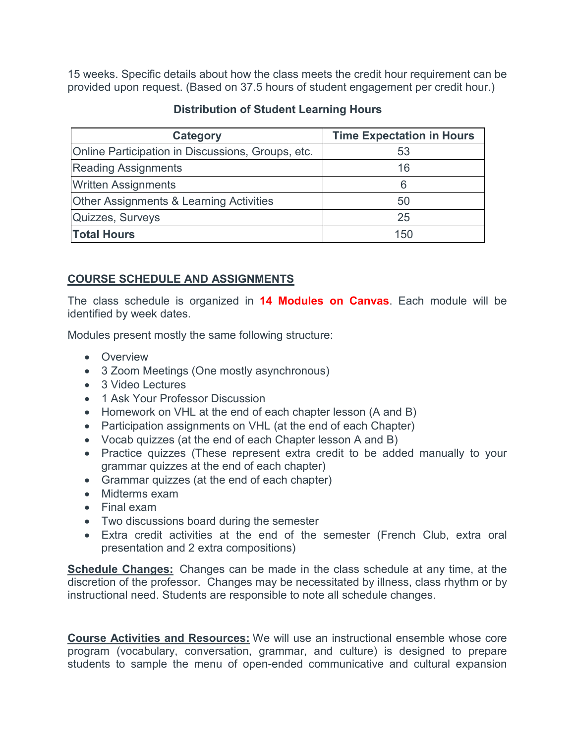15 weeks. Specific details about how the class meets the credit hour requirement can be provided upon request. (Based on 37.5 hours of student engagement per credit hour.)

| <b>Category</b>                                    | <b>Time Expectation in Hours</b> |  |
|----------------------------------------------------|----------------------------------|--|
| Online Participation in Discussions, Groups, etc.  | 53                               |  |
| <b>Reading Assignments</b>                         | 16                               |  |
| <b>Written Assignments</b>                         | 6                                |  |
| <b>Other Assignments &amp; Learning Activities</b> | 50                               |  |
| Quizzes, Surveys                                   | 25                               |  |
| <b>Total Hours</b>                                 | 150                              |  |

### **Distribution of Student Learning Hours**

### **COURSE SCHEDULE AND ASSIGNMENTS**

The class schedule is organized in **14 Modules on Canvas**. Each module will be identified by week dates.

Modules present mostly the same following structure:

- Overview
- 3 Zoom Meetings (One mostly asynchronous)
- 3 Video Lectures
- 1 Ask Your Professor Discussion
- Homework on VHL at the end of each chapter lesson (A and B)
- Participation assignments on VHL (at the end of each Chapter)
- Vocab quizzes (at the end of each Chapter lesson A and B)
- Practice quizzes (These represent extra credit to be added manually to your grammar quizzes at the end of each chapter)
- Grammar quizzes (at the end of each chapter)
- Midterms exam
- Final exam
- Two discussions board during the semester
- Extra credit activities at the end of the semester (French Club, extra oral presentation and 2 extra compositions)

**Schedule Changes:** Changes can be made in the class schedule at any time, at the discretion of the professor. Changes may be necessitated by illness, class rhythm or by instructional need. Students are responsible to note all schedule changes.

**Course Activities and Resources:** We will use an instructional ensemble whose core program (vocabulary, conversation, grammar, and culture) is designed to prepare students to sample the menu of open-ended communicative and cultural expansion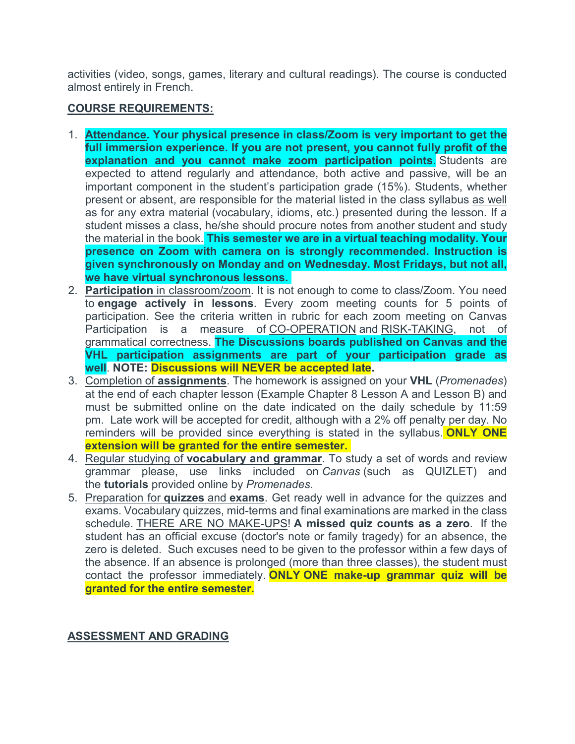activities (video, songs, games, literary and cultural readings). The course is conducted almost entirely in French.

#### **COURSE REQUIREMENTS:**

- 1. **Attendance. Your physical presence in class/Zoom is very important to get the full immersion experience. If you are not present, you cannot fully profit of the explanation and you cannot make zoom participation points.** Students are expected to attend regularly and attendance, both active and passive, will be an important component in the student's participation grade (15%). Students, whether present or absent, are responsible for the material listed in the class syllabus as well as for any extra material (vocabulary, idioms, etc.) presented during the lesson. If a student misses a class, he/she should procure notes from another student and study the material in the book. **This semester we are in a virtual teaching modality. Your presence on Zoom with camera on is strongly recommended. Instruction is given synchronously on Monday and on Wednesday. Most Fridays, but not all, we have virtual synchronous lessons.**
- 2. **Participation** in classroom/zoom. It is not enough to come to class/Zoom. You need to **engage actively in lessons**. Every zoom meeting counts for 5 points of participation. See the criteria written in rubric for each zoom meeting on Canvas Participation is a measure of CO-OPERATION and RISK-TAKING, not of grammatical correctness. **The Discussions boards published on Canvas and the VHL participation assignments are part of your participation grade as well**. **NOTE: Discussions will NEVER be accepted late.**
- 3. Completion of **assignments**. The homework is assigned on your **VHL** (*Promenades*) at the end of each chapter lesson (Example Chapter 8 Lesson A and Lesson B) and must be submitted online on the date indicated on the daily schedule by 11:59 pm. Late work will be accepted for credit, although with a 2% off penalty per day. No reminders will be provided since everything is stated in the syllabus. **ONLY ONE extension will be granted for the entire semester.**
- 4. Regular studying of **vocabulary and grammar**. To study a set of words and review grammar please, use links included on *Canvas* (such as QUIZLET) and the **tutorials** provided online by *Promenades*.
- 5. Preparation for **quizzes** and **exams**. Get ready well in advance for the quizzes and exams. Vocabulary quizzes, mid-terms and final examinations are marked in the class schedule. THERE ARE NO MAKE-UPS! **A missed quiz counts as a zero**. If the student has an official excuse (doctor's note or family tragedy) for an absence, the zero is deleted. Such excuses need to be given to the professor within a few days of the absence. If an absence is prolonged (more than three classes), the student must contact the professor immediately. **ONLY ONE make-up grammar quiz will be granted for the entire semester.**

#### **ASSESSMENT AND GRADING**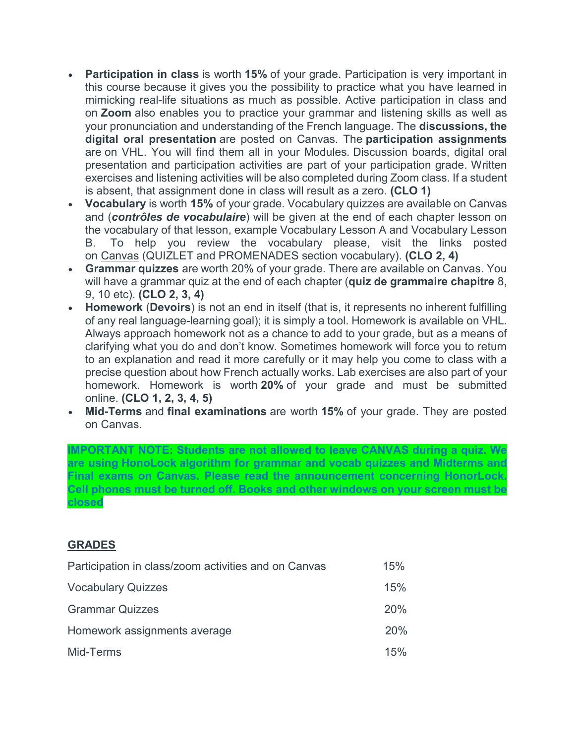- **Participation in class** is worth **15%** of your grade. Participation is very important in this course because it gives you the possibility to practice what you have learned in mimicking real-life situations as much as possible. Active participation in class and on **Zoom** also enables you to practice your grammar and listening skills as well as your pronunciation and understanding of the French language. The **discussions, the digital oral presentation** are posted on Canvas. The **participation assignments** are on VHL. You will find them all in your Modules*.* Discussion boards, digital oral presentation and participation activities are part of your participation grade. Written exercises and listening activities will be also completed during Zoom class. If a student is absent, that assignment done in class will result as a zero. **(CLO 1)**
- **Vocabulary** is worth **15%** of your grade. Vocabulary quizzes are available on Canvas and (*contrôles de vocabulaire*) will be given at the end of each chapter lesson on the vocabulary of that lesson, example Vocabulary Lesson A and Vocabulary Lesson B. To help you review the vocabulary please, visit the links posted on Canvas (QUIZLET and PROMENADES section vocabulary). **(CLO 2, 4)**
- **Grammar quizzes** are worth 20% of your grade. There are available on Canvas. You will have a grammar quiz at the end of each chapter (**quiz de grammaire chapitre** 8, 9, 10 etc). **(CLO 2, 3, 4)**
- **Homework** (**Devoirs**) is not an end in itself (that is, it represents no inherent fulfilling of any real language-learning goal); it is simply a tool. Homework is available on VHL. Always approach homework not as a chance to add to your grade, but as a means of clarifying what you do and don't know. Sometimes homework will force you to return to an explanation and read it more carefully or it may help you come to class with a precise question about how French actually works. Lab exercises are also part of your homework. Homework is worth **20%** of your grade and must be submitted online. **(CLO 1, 2, 3, 4, 5)**
- **Mid-Terms** and **final examinations** are worth **15%** of your grade. They are posted on Canvas.

**IMPORTANT NOTE: Students are not allowed to leave CANVAS during a quiz. We are using HonoLock algorithm for grammar and vocab quizzes and Midterms and Final exams on Canvas. Please read the announcement concerning HonorLock. Cell phones must be turned off. Books and other windows on your screen must be closed**

## **GRADES**

| Participation in class/zoom activities and on Canvas |     |
|------------------------------------------------------|-----|
| <b>Vocabulary Quizzes</b>                            | 15% |
| <b>Grammar Quizzes</b>                               | 20% |
| Homework assignments average                         | 20% |
| Mid-Terms                                            | 15% |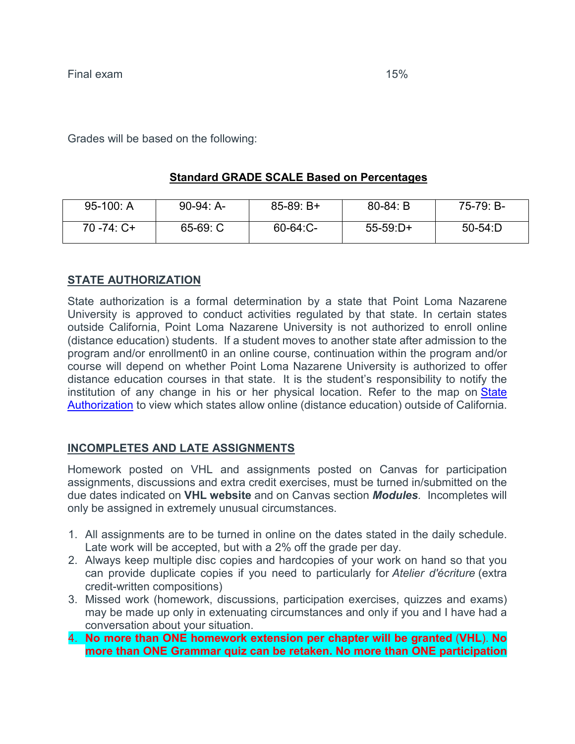Grades will be based on the following:

## **Standard GRADE SCALE Based on Percentages**

| 95-100: A      | $90-94: A-$ | $85-89: B+$   | $80 - 84: B$ | 75-79: B- |
|----------------|-------------|---------------|--------------|-----------|
| $70 - 74$ : C+ | $65-69: C$  | $60 - 64$ :C- | $55-59:D+$   | $50-54:D$ |

## **STATE AUTHORIZATION**

State authorization is a formal determination by a state that Point Loma Nazarene University is approved to conduct activities regulated by that state. In certain states outside California, Point Loma Nazarene University is not authorized to enroll online (distance education) students. If a student moves to another state after admission to the program and/or enrollment0 in an online course, continuation within the program and/or course will depend on whether Point Loma Nazarene University is authorized to offer distance education courses in that state. It is the student's responsibility to notify the institution of any change in his or her physical location. Refer to the map on State [Authorization](https://www.pointloma.edu/offices/office-institutional-effectiveness-research/disclosures) to view which states allow online (distance education) outside of California.

#### **INCOMPLETES AND LATE ASSIGNMENTS**

Homework posted on VHL and assignments posted on Canvas for participation assignments, discussions and extra credit exercises, must be turned in/submitted on the due dates indicated on **VHL website** and on Canvas section *Modules.* Incompletes will only be assigned in extremely unusual circumstances.

- 1. All assignments are to be turned in online on the dates stated in the daily schedule. Late work will be accepted, but with a 2% off the grade per day.
- 2. Always keep multiple disc copies and hardcopies of your work on hand so that you can provide duplicate copies if you need to particularly for *Atelier d'écriture* (extra credit-written compositions)
- 3. Missed work (homework, discussions, participation exercises, quizzes and exams) may be made up only in extenuating circumstances and only if you and I have had a conversation about your situation.
- 4. **No more than ONE homework extension per chapter will be granted** (**VHL**). **No more than ONE Grammar quiz can be retaken. No more than ONE participation**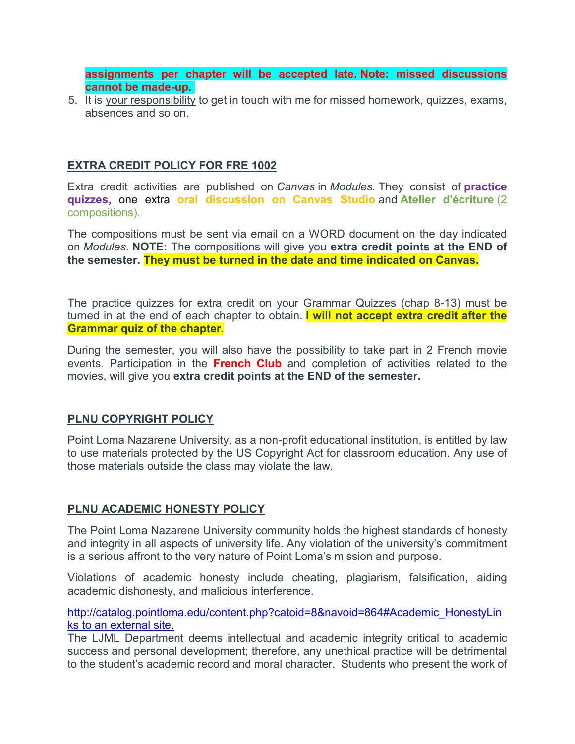**assignments per chapter will be accepted late. Note: missed discussions cannot be made-up.**

5. It is your responsibility to get in touch with me for missed homework, quizzes, exams, absences and so on.

### **EXTRA CREDIT POLICY FOR FRE 1002**

Extra credit activities are published on *Canvas* in *Modules.* They consist of **practice quizzes,** one extra **oral discussion on Canvas Studio** and **Atelier d'écriture** (2 compositions).

The compositions must be sent via email on a WORD document on the day indicated on *Modules.* **NOTE:** The compositions will give you **extra credit points at the END of the semester. They must be turned in the date and time indicated on Canvas.**

The practice quizzes for extra credit on your Grammar Quizzes (chap 8-13) must be turned in at the end of each chapter to obtain. **I will not accept extra credit after the Grammar quiz of the chapter**.

During the semester, you will also have the possibility to take part in 2 French movie events. Participation in the **French Club** and completion of activities related to the movies, will give you **extra credit points at the END of the semester.**

#### **PLNU COPYRIGHT POLICY**

Point Loma Nazarene University, as a non-profit educational institution, is entitled by law to use materials protected by the US Copyright Act for classroom education. Any use of those materials outside the class may violate the law.

#### **PLNU ACADEMIC HONESTY POLICY**

The Point Loma Nazarene University community holds the highest standards of honesty and integrity in all aspects of university life. Any violation of the university's commitment is a serious affront to the very nature of Point Loma's mission and purpose.

Violations of academic honesty include cheating, plagiarism, falsification, aiding academic dishonesty, and malicious interference.

[http://catalog.pointloma.edu/content.php?catoid=8&navoid=864#Academic\\_HonestyLin](http://catalog.pointloma.edu/content.php?catoid=8&navoid=864#Academic_Honesty) ks to an [external](http://catalog.pointloma.edu/content.php?catoid=8&navoid=864#Academic_Honesty) site.

The LJML Department deems intellectual and academic integrity critical to academic success and personal development; therefore, any unethical practice will be detrimental to the student's academic record and moral character. Students who present the work of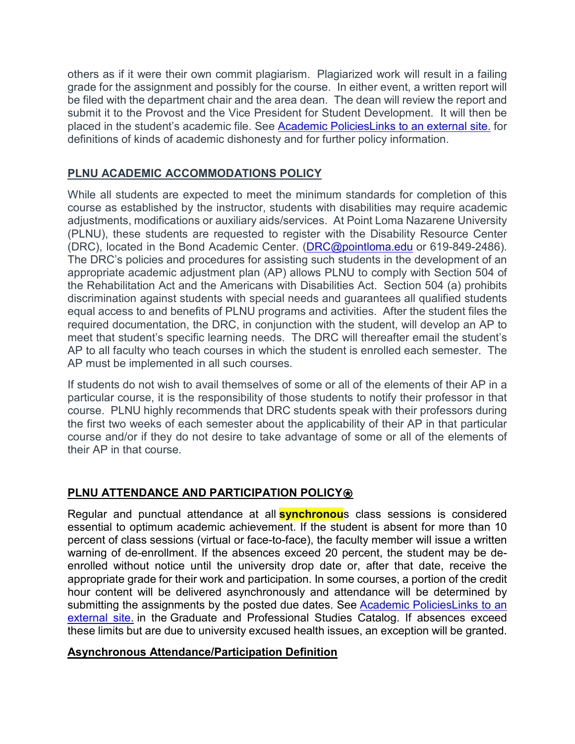others as if it were their own commit plagiarism. Plagiarized work will result in a failing grade for the assignment and possibly for the course. In either event, a written report will be filed with the department chair and the area dean. The dean will review the report and submit it to the Provost and the Vice President for Student Development. It will then be placed in the student's academic file. See [Academic PoliciesLinks](http://catalog.pointloma.edu/content.php?catoid=18&navoid=1278) to an external site. for definitions of kinds of academic dishonesty and for further policy information.

# **PLNU ACADEMIC ACCOMMODATIONS POLICY**

While all students are expected to meet the minimum standards for completion of this course as established by the instructor, students with disabilities may require academic adjustments, modifications or auxiliary aids/services. At Point Loma Nazarene University (PLNU), these students are requested to register with the Disability Resource Center (DRC), located in the Bond Academic Center. [\(DRC@pointloma.edu](mailto:DRC@pointloma.edu) or 619-849-2486). The DRC's policies and procedures for assisting such students in the development of an appropriate academic adjustment plan (AP) allows PLNU to comply with Section 504 of the Rehabilitation Act and the Americans with Disabilities Act. Section 504 (a) prohibits discrimination against students with special needs and guarantees all qualified students equal access to and benefits of PLNU programs and activities. After the student files the required documentation, the DRC, in conjunction with the student, will develop an AP to meet that student's specific learning needs. The DRC will thereafter email the student's AP to all faculty who teach courses in which the student is enrolled each semester. The AP must be implemented in all such courses.

If students do not wish to avail themselves of some or all of the elements of their AP in a particular course, it is the responsibility of those students to notify their professor in that course. PLNU highly recommends that DRC students speak with their professors during the first two weeks of each semester about the applicability of their AP in that particular course and/or if they do not desire to take advantage of some or all of the elements of their AP in that course.

# **PLNU ATTENDANCE AND PARTICIPATION POLICY<sup><b>***⊗*</sup>

Regular and punctual attendance at all **synchronou**s class sessions is considered essential to optimum academic achievement. If the student is absent for more than 10 percent of class sessions (virtual or face-to-face), the faculty member will issue a written warning of de-enrollment. If the absences exceed 20 percent, the student may be deenrolled without notice until the university drop date or, after that date, receive the appropriate grade for their work and participation. In some courses, a portion of the credit hour content will be delivered asynchronously and attendance will be determined by submitting the assignments by the posted due dates. See [Academic PoliciesLinks](https://catalog.pointloma.edu/content.php?catoid=48&navoid=2757) to an [external](https://catalog.pointloma.edu/content.php?catoid=48&navoid=2757) site. in the Graduate and Professional Studies Catalog. If absences exceed these limits but are due to university excused health issues, an exception will be granted.

## **Asynchronous Attendance/Participation Definition**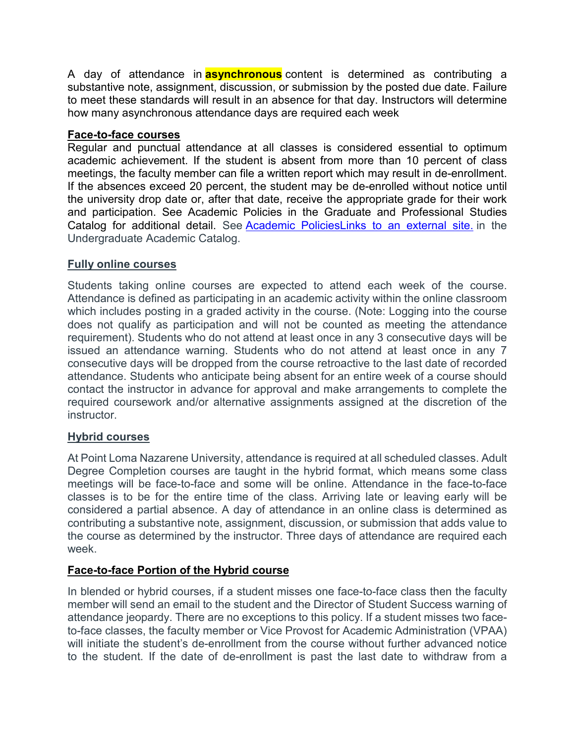A day of attendance in **asynchronous** content is determined as contributing a substantive note, assignment, discussion, or submission by the posted due date. Failure to meet these standards will result in an absence for that day. Instructors will determine how many asynchronous attendance days are required each week

### **Face-to-face courses**

Regular and punctual attendance at all classes is considered essential to optimum academic achievement. If the student is absent from more than 10 percent of class meetings, the faculty member can file a written report which may result in de-enrollment. If the absences exceed 20 percent, the student may be de-enrolled without notice until the university drop date or, after that date, receive the appropriate grade for their work and participation. See Academic Policies in the Graduate and Professional Studies Catalog for additional detail. See [Academic PoliciesLinks](http://catalog.pointloma.edu/content.php?catoid=18&navoid=1278) to an external site. in the Undergraduate Academic Catalog.

### **Fully online courses**

Students taking online courses are expected to attend each week of the course. Attendance is defined as participating in an academic activity within the online classroom which includes posting in a graded activity in the course. (Note: Logging into the course does not qualify as participation and will not be counted as meeting the attendance requirement). Students who do not attend at least once in any 3 consecutive days will be issued an attendance warning. Students who do not attend at least once in any 7 consecutive days will be dropped from the course retroactive to the last date of recorded attendance. Students who anticipate being absent for an entire week of a course should contact the instructor in advance for approval and make arrangements to complete the required coursework and/or alternative assignments assigned at the discretion of the instructor.

## **Hybrid courses**

At Point Loma Nazarene University, attendance is required at all scheduled classes. Adult Degree Completion courses are taught in the hybrid format, which means some class meetings will be face-to-face and some will be online. Attendance in the face-to-face classes is to be for the entire time of the class. Arriving late or leaving early will be considered a partial absence. A day of attendance in an online class is determined as contributing a substantive note, assignment, discussion, or submission that adds value to the course as determined by the instructor. Three days of attendance are required each week.

## **Face-to-face Portion of the Hybrid course**

In blended or hybrid courses, if a student misses one face-to-face class then the faculty member will send an email to the student and the Director of Student Success warning of attendance jeopardy. There are no exceptions to this policy. If a student misses two faceto-face classes, the faculty member or Vice Provost for Academic Administration (VPAA) will initiate the student's de-enrollment from the course without further advanced notice to the student. If the date of de-enrollment is past the last date to withdraw from a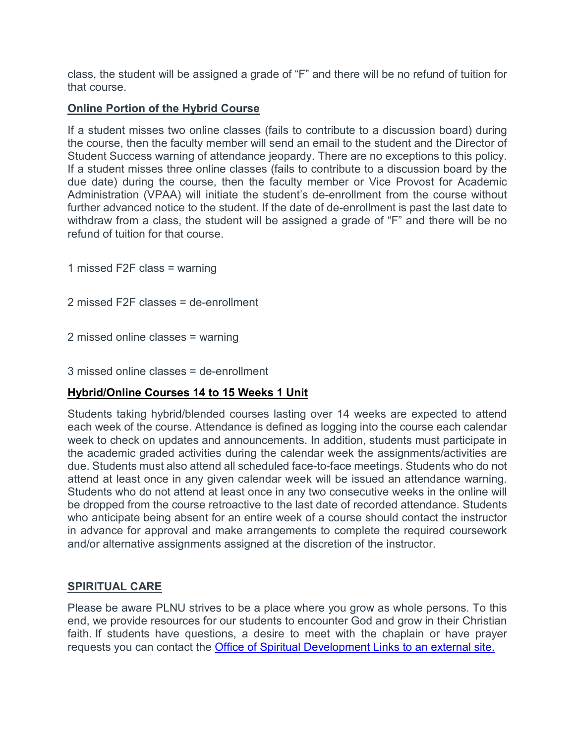class, the student will be assigned a grade of "F" and there will be no refund of tuition for that course.

#### **Online Portion of the Hybrid Course**

If a student misses two online classes (fails to contribute to a discussion board) during the course, then the faculty member will send an email to the student and the Director of Student Success warning of attendance jeopardy. There are no exceptions to this policy. If a student misses three online classes (fails to contribute to a discussion board by the due date) during the course, then the faculty member or Vice Provost for Academic Administration (VPAA) will initiate the student's de-enrollment from the course without further advanced notice to the student. If the date of de-enrollment is past the last date to withdraw from a class, the student will be assigned a grade of "F" and there will be no refund of tuition for that course.

1 missed F2F class = warning

2 missed F2F classes = de-enrollment

2 missed online classes = warning

3 missed online classes = de-enrollment

## **Hybrid/Online Courses 14 to 15 Weeks 1 Unit**

Students taking hybrid/blended courses lasting over 14 weeks are expected to attend each week of the course. Attendance is defined as logging into the course each calendar week to check on updates and announcements. In addition, students must participate in the academic graded activities during the calendar week the assignments/activities are due. Students must also attend all scheduled face-to-face meetings. Students who do not attend at least once in any given calendar week will be issued an attendance warning. Students who do not attend at least once in any two consecutive weeks in the online will be dropped from the course retroactive to the last date of recorded attendance. Students who anticipate being absent for an entire week of a course should contact the instructor in advance for approval and make arrangements to complete the required coursework and/or alternative assignments assigned at the discretion of the instructor.

#### **SPIRITUAL CARE**

Please be aware PLNU strives to be a place where you grow as whole persons. To this end, we provide resources for our students to encounter God and grow in their Christian faith. If students have questions, a desire to meet with the chaplain or have prayer requests you can contact the [Office of Spiritual Development](https://www.pointloma.edu/offices/spiritual-development) Links to an external site.